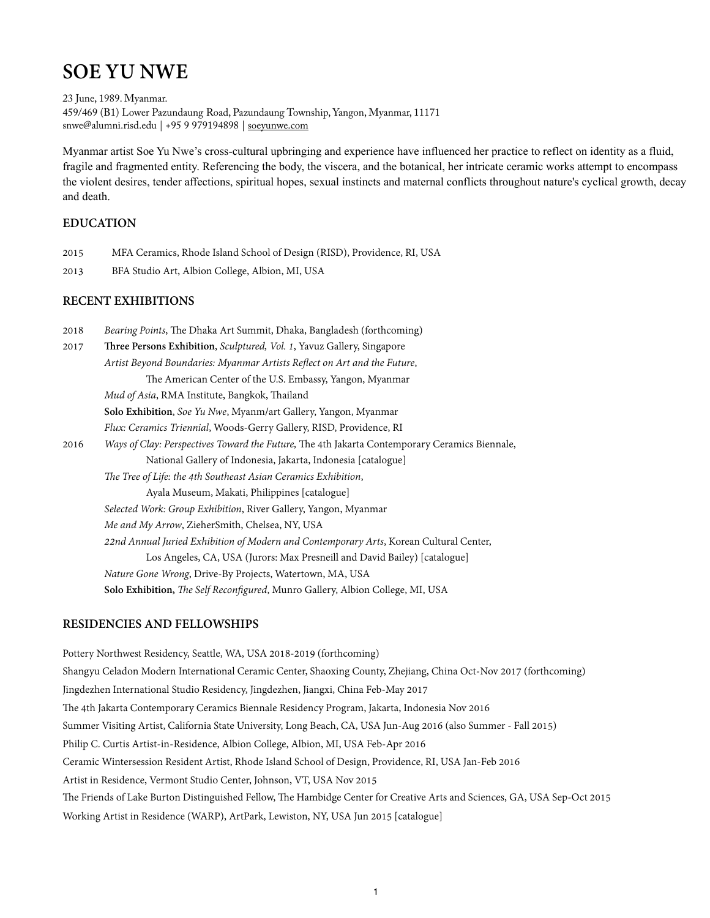# **SOE YU NWE**

23 June, 1989. Myanmar. 459/469 (B1) Lower Pazundaung Road, Pazundaung Township, Yangon, Myanmar, 11171 snwe@alumni.risd.edu | +95 9 979194898 | [soeyunwe.com](http://soeyunwe.com)

Myanmar artist Soe Yu Nwe's cross-cultural upbringing and experience have influenced her practice to reflect on identity as a fluid, fragile and fragmented entity. Referencing the body, the viscera, and the botanical, her intricate ceramic works attempt to encompass the violent desires, tender affections, spiritual hopes, sexual instincts and maternal conflicts throughout nature's cyclical growth, decay and death.

## **EDUCATION**

- 2015 MFA Ceramics, Rhode Island School of Design (RISD), Providence, RI, USA
- 2013 BFA Studio Art, Albion College, Albion, MI, USA

## **RECENT EXHIBITIONS**

| 2018 | Bearing Points, The Dhaka Art Summit, Dhaka, Bangladesh (forthcoming)                          |
|------|------------------------------------------------------------------------------------------------|
| 2017 | <b>Three Persons Exhibition</b> , <i>Sculptured</i> , <i>Vol. 1</i> , Yavuz Gallery, Singapore |
|      | Artist Beyond Boundaries: Myanmar Artists Reflect on Art and the Future,                       |
|      | The American Center of the U.S. Embassy, Yangon, Myanmar                                       |
|      | Mud of Asia, RMA Institute, Bangkok, Thailand                                                  |
|      | Solo Exhibition, Soe Yu Nwe, Myanm/art Gallery, Yangon, Myanmar                                |
|      | Flux: Ceramics Triennial, Woods-Gerry Gallery, RISD, Providence, RI                            |
| 2016 | Ways of Clay: Perspectives Toward the Future, The 4th Jakarta Contemporary Ceramics Biennale,  |
|      | National Gallery of Indonesia, Jakarta, Indonesia [catalogue]                                  |
|      | The Tree of Life: the 4th Southeast Asian Ceramics Exhibition,                                 |
|      | Ayala Museum, Makati, Philippines [catalogue]                                                  |
|      | Selected Work: Group Exhibition, River Gallery, Yangon, Myanmar                                |
|      | Me and My Arrow, ZieherSmith, Chelsea, NY, USA                                                 |
|      | 22nd Annual Juried Exhibition of Modern and Contemporary Arts, Korean Cultural Center,         |
|      | Los Angeles, CA, USA (Jurors: Max Presneill and David Bailey) [catalogue]                      |
|      | Nature Gone Wrong, Drive-By Projects, Watertown, MA, USA                                       |
|      | Solo Exhibition, The Self Reconfigured, Munro Gallery, Albion College, MI, USA                 |
|      |                                                                                                |

## **RESIDENCIES AND FELLOWSHIPS**

Pottery Northwest Residency, Seattle, WA, USA 2018-2019 (forthcoming) Shangyu Celadon Modern International Ceramic Center, Shaoxing County, Zhejiang, China Oct-Nov 2017 (forthcoming) Jingdezhen International Studio Residency, Jingdezhen, Jiangxi, China Feb-May 2017 The 4th Jakarta Contemporary Ceramics Biennale Residency Program, Jakarta, Indonesia Nov 2016 Summer Visiting Artist, California State University, Long Beach, CA, USA Jun-Aug 2016 (also Summer - Fall 2015) Philip C. Curtis Artist-in-Residence, Albion College, Albion, MI, USA Feb-Apr 2016 Ceramic Wintersession Resident Artist, Rhode Island School of Design, Providence, RI, USA Jan-Feb 2016 Artist in Residence, Vermont Studio Center, Johnson, VT, USA Nov 2015 The Friends of Lake Burton Distinguished Fellow, The Hambidge Center for Creative Arts and Sciences, GA, USA Sep-Oct 2015 Working Artist in Residence (WARP), ArtPark, Lewiston, NY, USA Jun 2015 [catalogue]